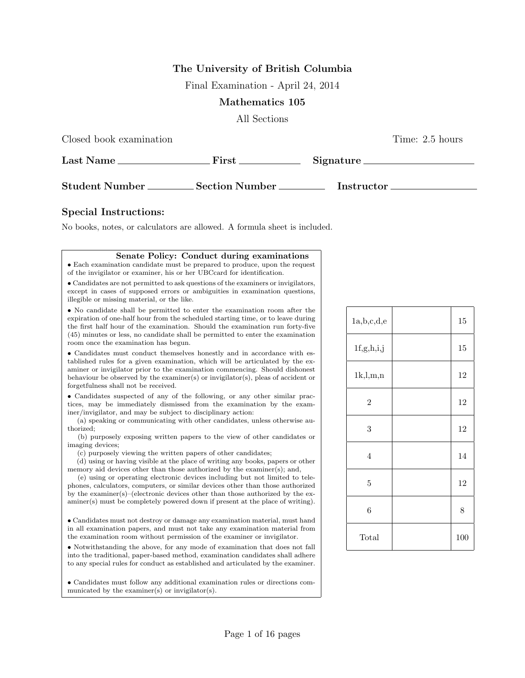## **The University of British Columbia**

Final Examination - April 24, 2014

## **Mathematics 105**

All Sections

| Closed book examination                          |                        |                   | Time: 2.5 hours |
|--------------------------------------------------|------------------------|-------------------|-----------------|
| $\operatorname{Last\ Name}\nolimits \_\_ \prime$ | $\text{First} \_\_$    | Signature         |                 |
| Student Number                                   | Section Number _______ | <b>Instructor</b> |                 |

## **Special Instructions:**

No books, notes, or calculators are allowed. A formula sheet is included.

| Senate Policy: Conduct during examinations                                                                                                                                                                                                                                                                                                                                                                                                                                                                                                                      |  |
|-----------------------------------------------------------------------------------------------------------------------------------------------------------------------------------------------------------------------------------------------------------------------------------------------------------------------------------------------------------------------------------------------------------------------------------------------------------------------------------------------------------------------------------------------------------------|--|
| • Each examination candidate must be prepared to produce, upon the request                                                                                                                                                                                                                                                                                                                                                                                                                                                                                      |  |
| of the invigilator or examiner, his or her UBCcard for identification.                                                                                                                                                                                                                                                                                                                                                                                                                                                                                          |  |
| • Candidates are not permitted to ask questions of the examiners or invigilators,<br>except in cases of supposed errors or ambiguities in examination questions,<br>illegible or missing material, or the like.                                                                                                                                                                                                                                                                                                                                                 |  |
| • No candidate shall be permitted to enter the examination room after the<br>expiration of one-half hour from the scheduled starting time, or to leave during<br>the first half hour of the examination. Should the examination run forty-five<br>(45) minutes or less, no candidate shall be permitted to enter the examination<br>room once the examination has begun.                                                                                                                                                                                        |  |
| • Candidates must conduct themselves honestly and in accordance with es-<br>tablished rules for a given examination, which will be articulated by the ex-<br>aminer or invigilator prior to the examination commencing. Should dishonest<br>behaviour be observed by the examiner(s) or invigilator(s), pleas of accident or<br>forgetfulness shall not be received.                                                                                                                                                                                            |  |
| • Candidates suspected of any of the following, or any other similar prac-<br>tices, may be immediately dismissed from the examination by the exam-<br>iner/invigilator, and may be subject to disciplinary action:<br>(a) speaking or communicating with other candidates, unless otherwise au-<br>thorized:                                                                                                                                                                                                                                                   |  |
| (b) purposely exposing written papers to the view of other candidates or<br>imaging devices;                                                                                                                                                                                                                                                                                                                                                                                                                                                                    |  |
| (c) purposely viewing the written papers of other candidates;<br>(d) using or having visible at the place of writing any books, papers or other<br>memory aid devices other than those authorized by the examiner(s); and,<br>(e) using or operating electronic devices including but not limited to tele-<br>phones, calculators, computers, or similar devices other than those authorized<br>by the examiner(s)–(electronic devices other than those authorized by the ex-<br>aminer(s) must be completely powered down if present at the place of writing). |  |
| • Candidates must not destroy or damage any examination material, must hand<br>in all examination papers, and must not take any examination material from<br>the examination room without permission of the examiner or invigilator.                                                                                                                                                                                                                                                                                                                            |  |
| • Notwithstanding the above, for any mode of examination that does not fall<br>into the traditional, paper-based method, examination candidates shall adhere<br>to any special rules for conduct as established and articulated by the examiner.                                                                                                                                                                                                                                                                                                                |  |
| • Candidates must follow any additional examination rules or directions com-<br>municated by the examiner(s) or invigilator(s).                                                                                                                                                                                                                                                                                                                                                                                                                                 |  |

| 1a,b,c,d,e     | 15  |
|----------------|-----|
| 1f,g,h,i,j     | 15  |
| 1k, l, m, n    | 12  |
| $\overline{2}$ | 12  |
| 3              | 12  |
| $\overline{4}$ | 14  |
| $\overline{5}$ | 12  |
| $\,6$          | 8   |
| Total          | 100 |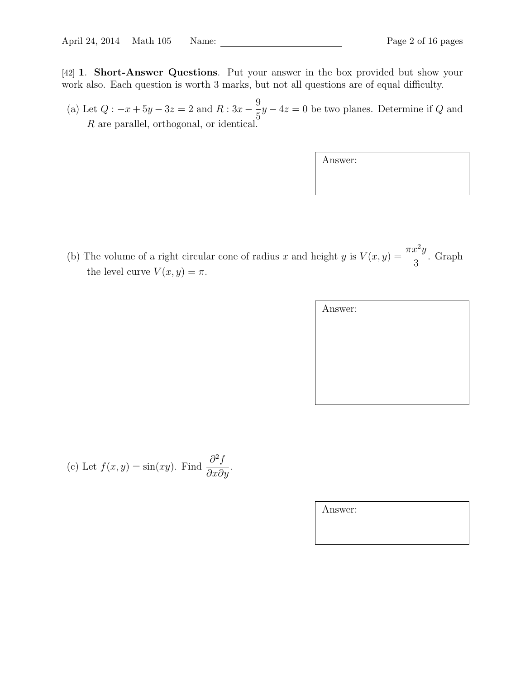[42] **1**. **Short-Answer Questions**. Put your answer in the box provided but show your work also. Each question is worth 3 marks, but not all questions are of equal difficulty.

(a) Let *Q* : *−x* + 5*y −* 3*z* = 2 and *R* : 3*x −* 9  $\frac{3}{5}y - 4z = 0$  be two planes. Determine if *Q* and *R* are parallel, orthogonal, or identical.

(b) The volume of a right circular cone of radius *x* and height *y* is  $V(x, y) = \frac{\pi x^2 y}{2}$ 3 . Graph the level curve  $V(x, y) = \pi$ .

| Answer: |  |  |
|---------|--|--|
|         |  |  |
|         |  |  |
|         |  |  |
|         |  |  |
|         |  |  |

(c) Let 
$$
f(x, y) = \sin(xy)
$$
. Find  $\frac{\partial^2 f}{\partial x \partial y}$ .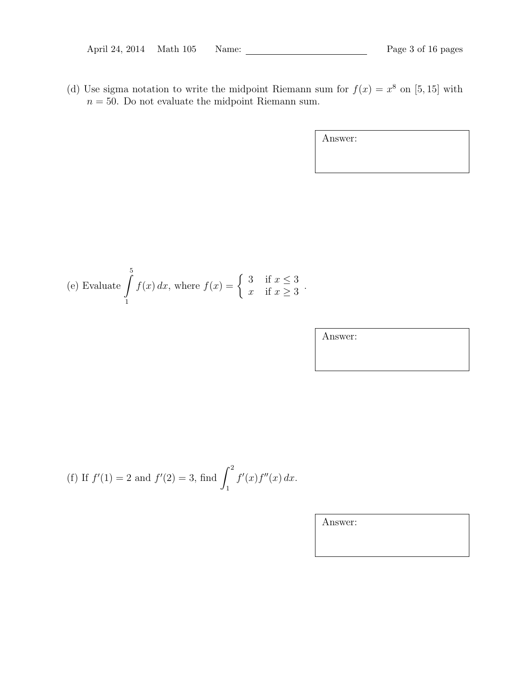(d) Use sigma notation to write the midpoint Riemann sum for  $f(x) = x^8$  on [5, 15] with  $n = 50$ . Do not evaluate the midpoint Riemann sum.

Answer:

(e) Evaluate 
$$
\int_{1}^{5} f(x) dx
$$
, where  $f(x) = \begin{cases} 3 & \text{if } x \leq 3 \\ x & \text{if } x \geq 3 \end{cases}$ .

Answer:

(f) If 
$$
f'(1) = 2
$$
 and  $f'(2) = 3$ , find  $\int_1^2 f'(x) f''(x) dx$ .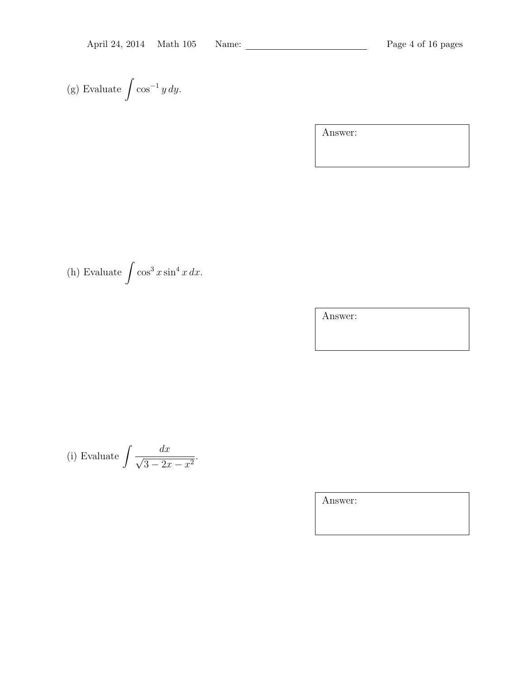(g) Evaluate 
$$
\int \cos^{-1} y \, dy
$$
.

Answer:

(h) Evaluate  $\int \cos^3 x \sin^4 x \, dx$ .

Answer:

(i) Evaluate 
$$
\int \frac{dx}{\sqrt{3 - 2x - x^2}}.
$$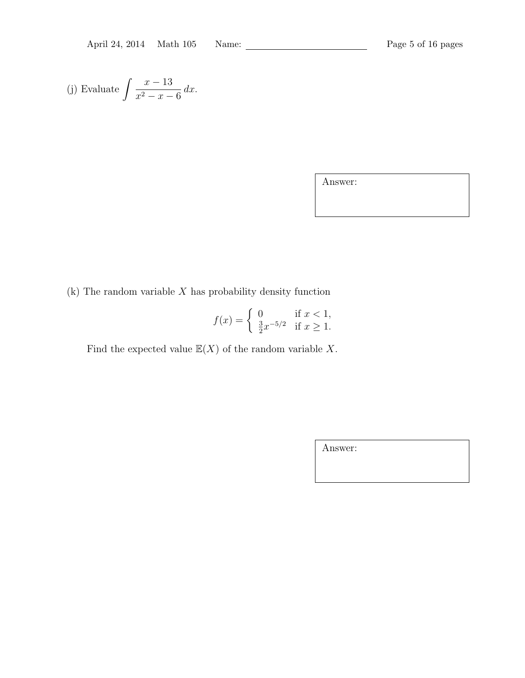(j) Evaluate 
$$
\int \frac{x-13}{x^2-x-6} dx.
$$

Answer:

(k) The random variable *X* has probability density function

$$
f(x) = \begin{cases} 0 & \text{if } x < 1, \\ \frac{3}{2}x^{-5/2} & \text{if } x \ge 1. \end{cases}
$$

Find the expected value  $\mathbb{E}(X)$  of the random variable X.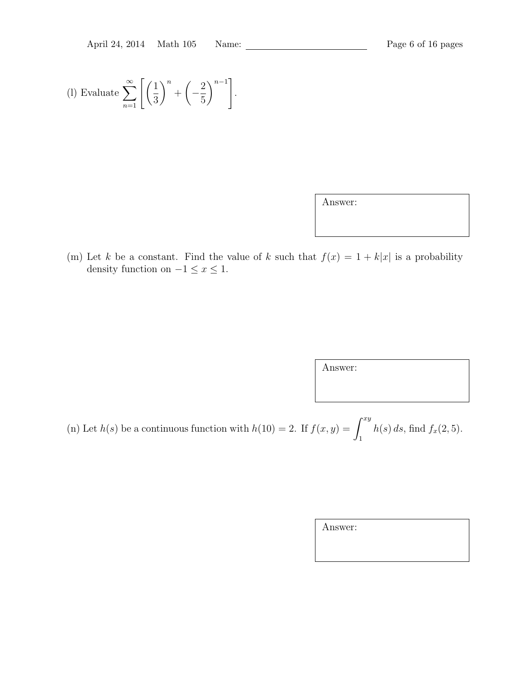(1) Evaluate 
$$
\sum_{n=1}^{\infty} \left[ \left( \frac{1}{3} \right)^n + \left( -\frac{2}{5} \right)^{n-1} \right].
$$

| Answer: |
|---------|
|---------|

(m) Let *k* be a constant. Find the value of *k* such that  $f(x) = 1 + k|x|$  is a probability density function on  $-1 \leq x \leq 1$ .

Answer:

(n) Let *h*(*s*) be a continuous function with  $h(10) = 2$ . If  $f(x, y) = \int^{xy}$ 1  $h(s) ds$ , find  $f_x(2, 5)$ .

| Answer: |  |  |
|---------|--|--|
|         |  |  |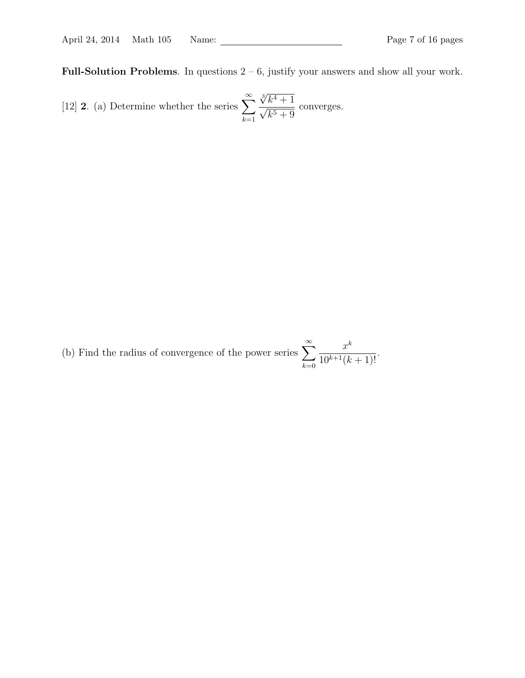**Full-Solution Problems**. In questions 2 – 6, justify your answers and show all your work.

[12] **2.** (a) Determine whether the series 
$$
\sum_{k=1}^{\infty} \frac{\sqrt[3]{k^4 + 1}}{\sqrt{k^5 + 9}}
$$
 converges.

(b) Find the radius of convergence of the power series <sup>∑</sup>*<sup>∞</sup> k*=0 *x k*  $\frac{x}{10^{k+1}(k+1)!}$ .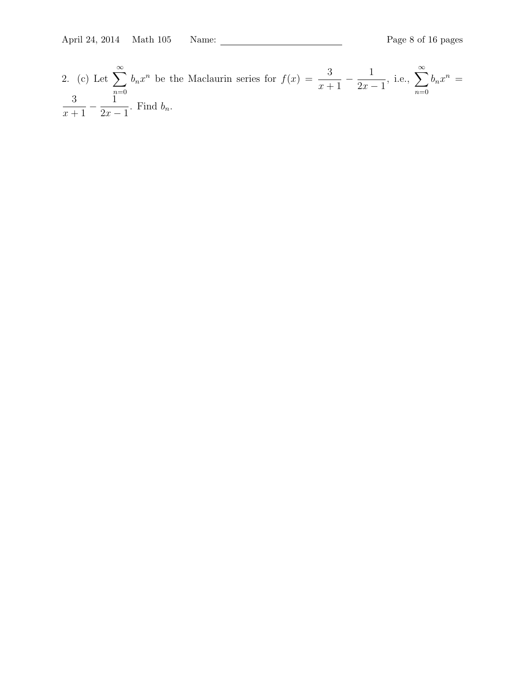2. (c) Let 
$$
\sum_{n=0}^{\infty} b_n x^n
$$
 be the Maclaurin series for  $f(x) = \frac{3}{x+1} - \frac{1}{2x-1}$ , i.e.,  $\sum_{n=0}^{\infty} b_n x^n = \frac{3}{x+1} - \frac{1}{2x-1}$ . Find  $b_n$ .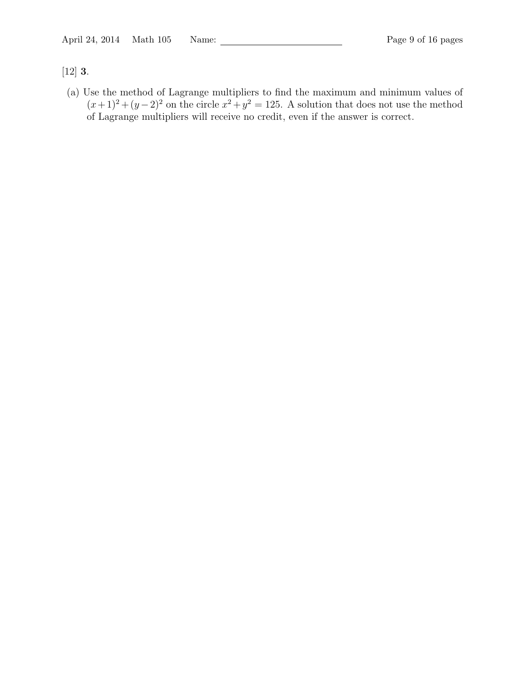## [12] **3**.

(a) Use the method of Lagrange multipliers to find the maximum and minimum values of  $(x+1)^2 + (y-2)^2$  on the circle  $x^2 + y^2 = 125$ . A solution that does not use the method of Lagrange multipliers will receive no credit, even if the answer is correct.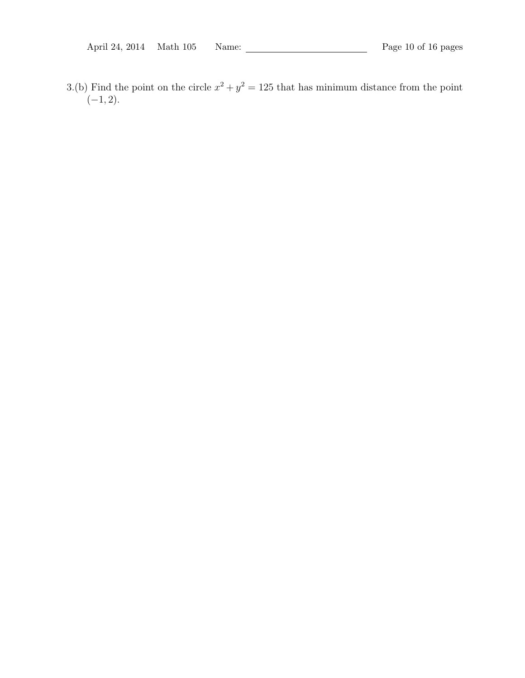3.(b) Find the point on the circle  $x^2 + y^2 = 125$  that has minimum distance from the point (*−*1*,* 2).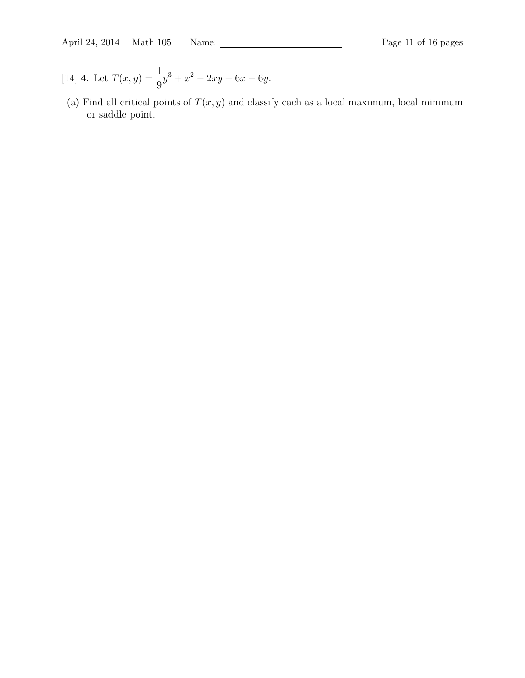April 24, 2014 Math 105 Name: Page 11 of 16 pages

- [14] **4**. Let  $T(x, y) = \frac{1}{2}$ 9  $y^3 + x^2 - 2xy + 6x - 6y$ .
- (a) Find all critical points of  $T(x, y)$  and classify each as a local maximum, local minimum or saddle point.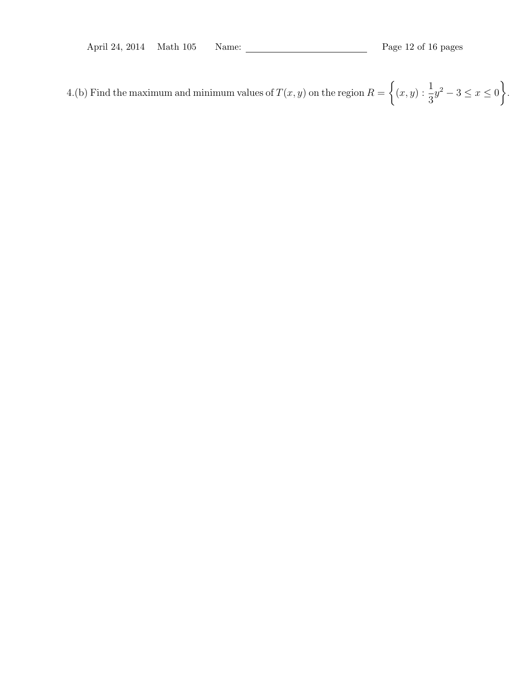4.(b) Find the maximum and minimum values of  $T(x, y)$  on the region  $R =$  $\left\{ (x,y): \frac{1}{2} \right\}$ 3 *y* <sup>2</sup> *<sup>−</sup>* <sup>3</sup> *<sup>≤</sup> <sup>x</sup> <sup>≤</sup>* <sup>0</sup>  $\mathcal{L}$ .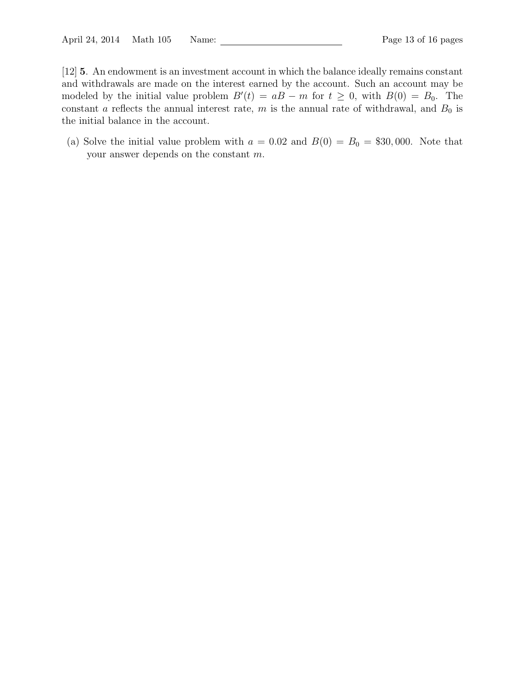[12] **5**. An endowment is an investment account in which the balance ideally remains constant and withdrawals are made on the interest earned by the account. Such an account may be modeled by the initial value problem  $B'(t) = aB - m$  for  $t \geq 0$ , with  $B(0) = B_0$ . The constant *a* reflects the annual interest rate, *m* is the annual rate of withdrawal, and  $B_0$  is the initial balance in the account.

(a) Solve the initial value problem with  $a = 0.02$  and  $B(0) = B_0 = $30,000$ . Note that your answer depends on the constant *m*.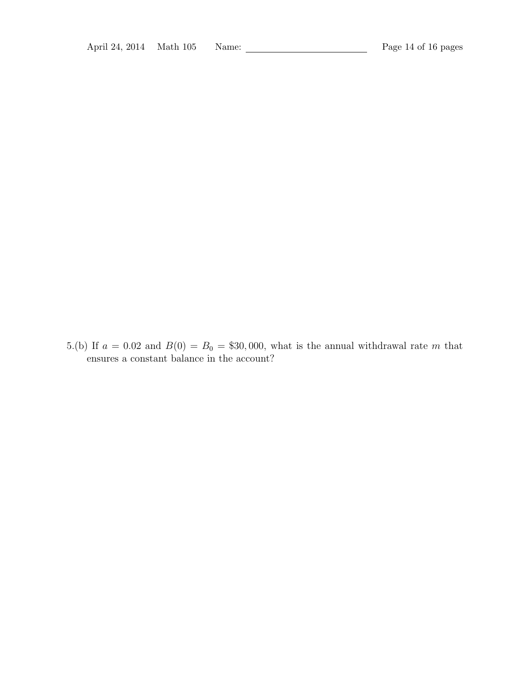5.(b) If  $a = 0.02$  and  $B(0) = B_0 = $30,000$ , what is the annual withdrawal rate *m* that ensures a constant balance in the account?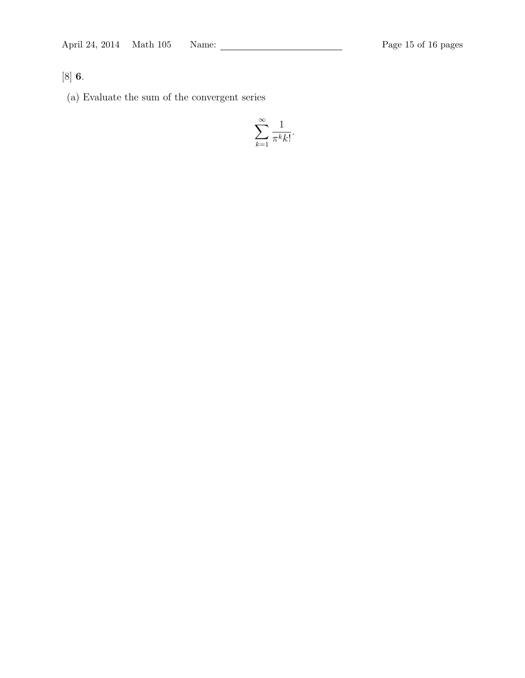[8] **6**.

(a) Evaluate the sum of the convergent series

$$
\sum_{k=1}^{\infty} \frac{1}{\pi^k k!}.
$$